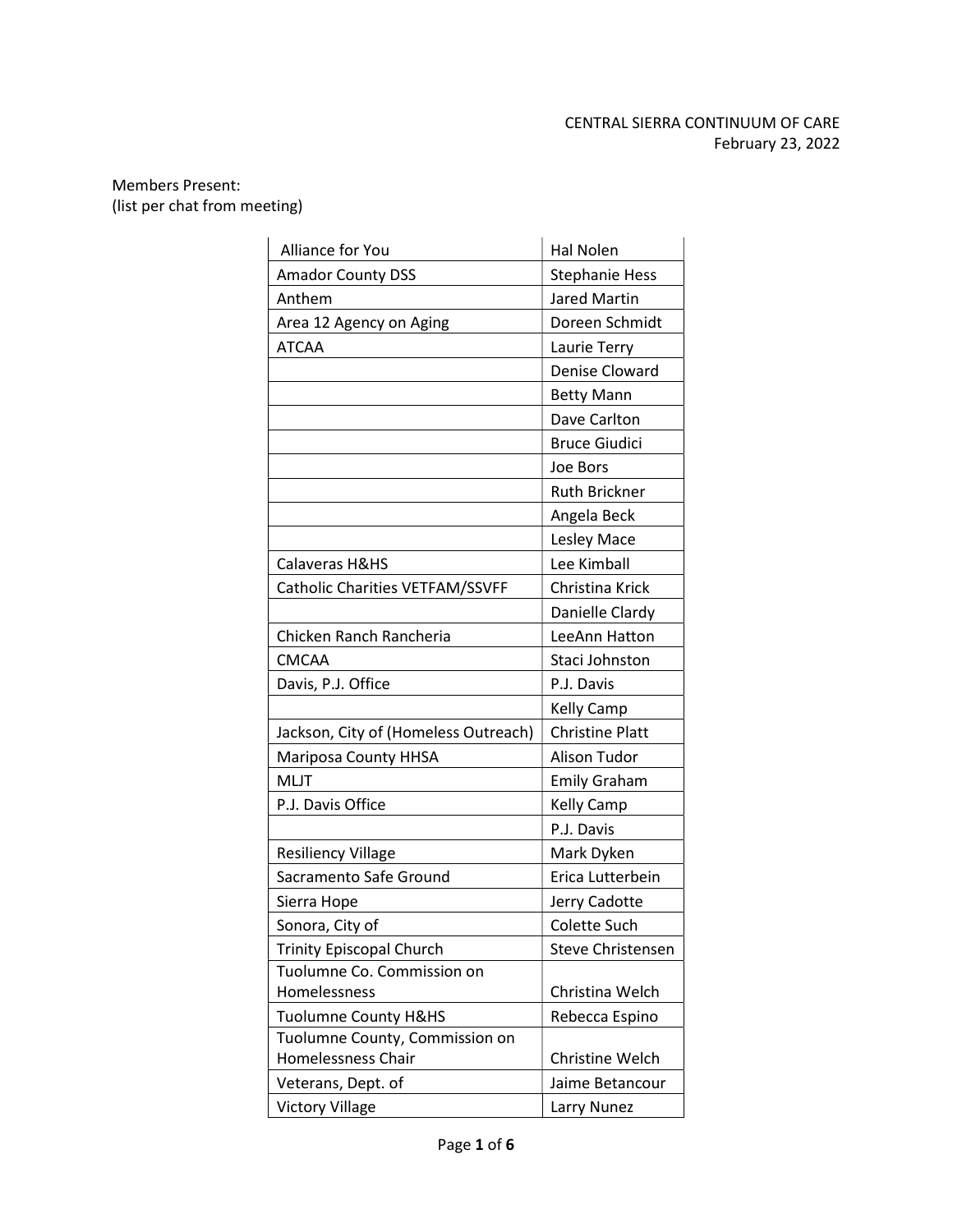# CENTRAL SIERRA CONTINUUM OF CARE February 23, 2022

## Members Present: (list per chat from meeting)

| Alliance for You                     | Hal Nolen              |
|--------------------------------------|------------------------|
| <b>Amador County DSS</b>             | <b>Stephanie Hess</b>  |
| Anthem                               | <b>Jared Martin</b>    |
| Area 12 Agency on Aging              | Doreen Schmidt         |
| <b>ATCAA</b>                         | Laurie Terry           |
|                                      | Denise Cloward         |
|                                      | <b>Betty Mann</b>      |
|                                      | Dave Carlton           |
|                                      | <b>Bruce Giudici</b>   |
|                                      | Joe Bors               |
|                                      | <b>Ruth Brickner</b>   |
|                                      | Angela Beck            |
|                                      | Lesley Mace            |
| Calaveras H&HS                       | Lee Kimball            |
| Catholic Charities VETFAM/SSVFF      | Christina Krick        |
|                                      | Danielle Clardy        |
| Chicken Ranch Rancheria              | LeeAnn Hatton          |
| <b>CMCAA</b>                         | Staci Johnston         |
| Davis, P.J. Office                   | P.J. Davis             |
|                                      | <b>Kelly Camp</b>      |
| Jackson, City of (Homeless Outreach) | <b>Christine Platt</b> |
| Mariposa County HHSA                 | Alison Tudor           |
| <b>MLJT</b>                          | <b>Emily Graham</b>    |
| P.J. Davis Office                    | <b>Kelly Camp</b>      |
|                                      | P.J. Davis             |
| <b>Resiliency Village</b>            | Mark Dyken             |
| Sacramento Safe Ground               | Erica Lutterbein       |
| Sierra Hope                          | Jerry Cadotte          |
| Sonora, City of                      | <b>Colette Such</b>    |
| <b>Trinity Episcopal Church</b>      | Steve Christensen      |
| Tuolumne Co. Commission on           |                        |
| Homelessness                         | Christina Welch        |
| <b>Tuolumne County H&amp;HS</b>      | Rebecca Espino         |
| Tuolumne County, Commission on       |                        |
| Homelessness Chair                   | Christine Welch        |
| Veterans, Dept. of                   | Jaime Betancour        |
| <b>Victory Village</b>               | Larry Nunez            |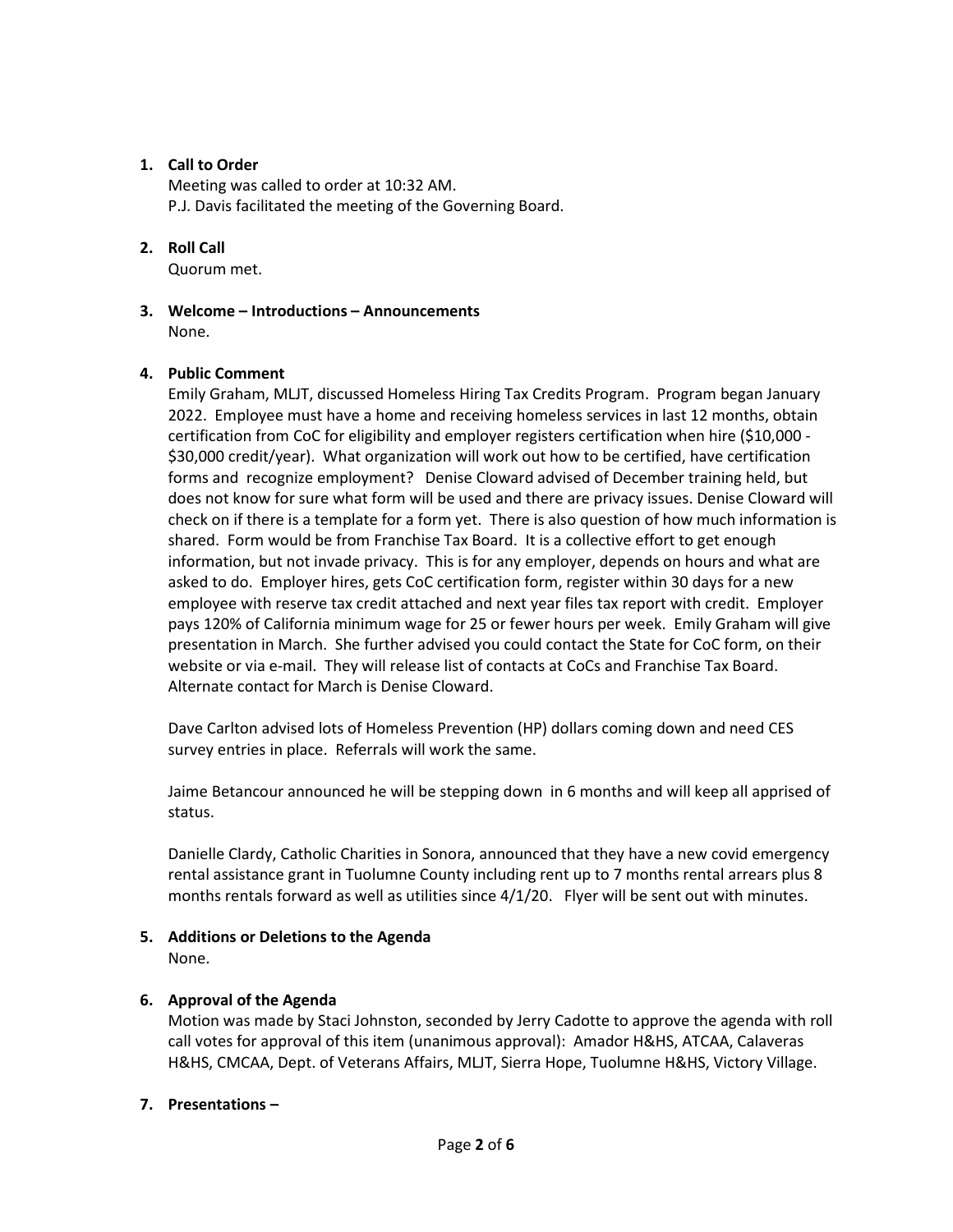## 1. Call to Order

Meeting was called to order at 10:32 AM. P.J. Davis facilitated the meeting of the Governing Board.

## 2. Roll Call

Quorum met.

3. Welcome – Introductions – Announcements None.

## 4. Public Comment

Emily Graham, MLJT, discussed Homeless Hiring Tax Credits Program. Program began January 2022. Employee must have a home and receiving homeless services in last 12 months, obtain certification from CoC for eligibility and employer registers certification when hire (\$10,000 - \$30,000 credit/year). What organization will work out how to be certified, have certification forms and recognize employment? Denise Cloward advised of December training held, but does not know for sure what form will be used and there are privacy issues. Denise Cloward will check on if there is a template for a form yet. There is also question of how much information is shared. Form would be from Franchise Tax Board. It is a collective effort to get enough information, but not invade privacy. This is for any employer, depends on hours and what are asked to do. Employer hires, gets CoC certification form, register within 30 days for a new employee with reserve tax credit attached and next year files tax report with credit. Employer pays 120% of California minimum wage for 25 or fewer hours per week. Emily Graham will give presentation in March. She further advised you could contact the State for CoC form, on their website or via e-mail. They will release list of contacts at CoCs and Franchise Tax Board. Alternate contact for March is Denise Cloward.

Dave Carlton advised lots of Homeless Prevention (HP) dollars coming down and need CES survey entries in place. Referrals will work the same.

Jaime Betancour announced he will be stepping down in 6 months and will keep all apprised of status.

Danielle Clardy, Catholic Charities in Sonora, announced that they have a new covid emergency rental assistance grant in Tuolumne County including rent up to 7 months rental arrears plus 8 months rentals forward as well as utilities since 4/1/20. Flyer will be sent out with minutes.

5. Additions or Deletions to the Agenda None.

## 6. Approval of the Agenda

Motion was made by Staci Johnston, seconded by Jerry Cadotte to approve the agenda with roll call votes for approval of this item (unanimous approval): Amador H&HS, ATCAA, Calaveras H&HS, CMCAA, Dept. of Veterans Affairs, MLJT, Sierra Hope, Tuolumne H&HS, Victory Village.

## 7. Presentations –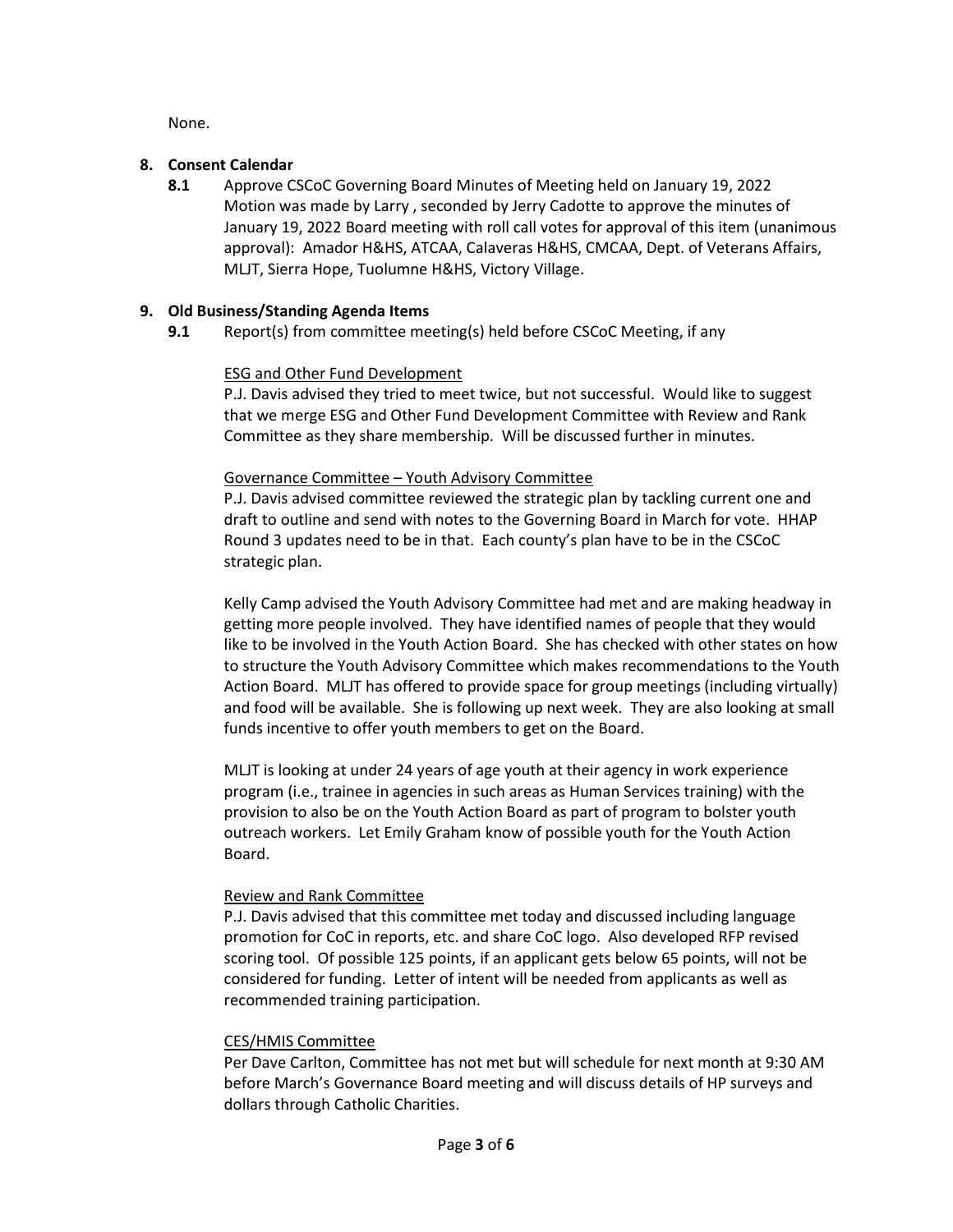None.

## 8. Consent Calendar

8.1 Approve CSCoC Governing Board Minutes of Meeting held on January 19, 2022 Motion was made by Larry , seconded by Jerry Cadotte to approve the minutes of January 19, 2022 Board meeting with roll call votes for approval of this item (unanimous approval): Amador H&HS, ATCAA, Calaveras H&HS, CMCAA, Dept. of Veterans Affairs, MLJT, Sierra Hope, Tuolumne H&HS, Victory Village.

## 9. Old Business/Standing Agenda Items

9.1 Report(s) from committee meeting(s) held before CSCoC Meeting, if any

## ESG and Other Fund Development

P.J. Davis advised they tried to meet twice, but not successful. Would like to suggest that we merge ESG and Other Fund Development Committee with Review and Rank Committee as they share membership. Will be discussed further in minutes.

## Governance Committee – Youth Advisory Committee

P.J. Davis advised committee reviewed the strategic plan by tackling current one and draft to outline and send with notes to the Governing Board in March for vote. HHAP Round 3 updates need to be in that. Each county's plan have to be in the CSCoC strategic plan.

Kelly Camp advised the Youth Advisory Committee had met and are making headway in getting more people involved. They have identified names of people that they would like to be involved in the Youth Action Board. She has checked with other states on how to structure the Youth Advisory Committee which makes recommendations to the Youth Action Board. MLJT has offered to provide space for group meetings (including virtually) and food will be available. She is following up next week. They are also looking at small funds incentive to offer youth members to get on the Board.

MLJT is looking at under 24 years of age youth at their agency in work experience program (i.e., trainee in agencies in such areas as Human Services training) with the provision to also be on the Youth Action Board as part of program to bolster youth outreach workers. Let Emily Graham know of possible youth for the Youth Action Board.

## Review and Rank Committee

P.J. Davis advised that this committee met today and discussed including language promotion for CoC in reports, etc. and share CoC logo. Also developed RFP revised scoring tool. Of possible 125 points, if an applicant gets below 65 points, will not be considered for funding. Letter of intent will be needed from applicants as well as recommended training participation.

## CES/HMIS Committee

Per Dave Carlton, Committee has not met but will schedule for next month at 9:30 AM before March's Governance Board meeting and will discuss details of HP surveys and dollars through Catholic Charities.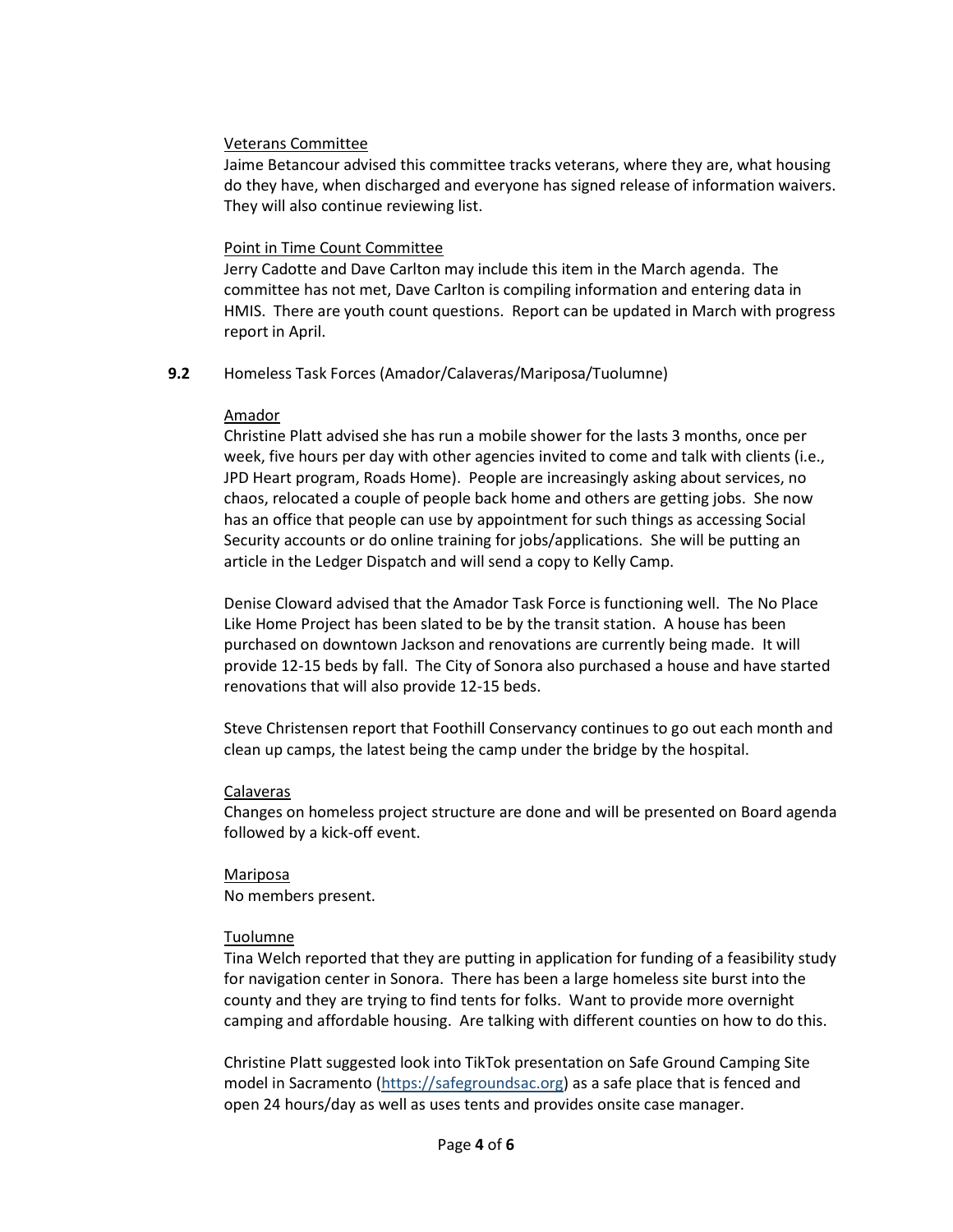## Veterans Committee

Jaime Betancour advised this committee tracks veterans, where they are, what housing do they have, when discharged and everyone has signed release of information waivers. They will also continue reviewing list.

#### Point in Time Count Committee

Jerry Cadotte and Dave Carlton may include this item in the March agenda. The committee has not met, Dave Carlton is compiling information and entering data in HMIS. There are youth count questions. Report can be updated in March with progress report in April.

## 9.2 Homeless Task Forces (Amador/Calaveras/Mariposa/Tuolumne)

## Amador

Christine Platt advised she has run a mobile shower for the lasts 3 months, once per week, five hours per day with other agencies invited to come and talk with clients (i.e., JPD Heart program, Roads Home). People are increasingly asking about services, no chaos, relocated a couple of people back home and others are getting jobs. She now has an office that people can use by appointment for such things as accessing Social Security accounts or do online training for jobs/applications. She will be putting an article in the Ledger Dispatch and will send a copy to Kelly Camp.

Denise Cloward advised that the Amador Task Force is functioning well. The No Place Like Home Project has been slated to be by the transit station. A house has been purchased on downtown Jackson and renovations are currently being made. It will provide 12-15 beds by fall. The City of Sonora also purchased a house and have started renovations that will also provide 12-15 beds.

Steve Christensen report that Foothill Conservancy continues to go out each month and clean up camps, the latest being the camp under the bridge by the hospital.

## Calaveras

Changes on homeless project structure are done and will be presented on Board agenda followed by a kick-off event.

Mariposa No members present.

## Tuolumne

Tina Welch reported that they are putting in application for funding of a feasibility study for navigation center in Sonora. There has been a large homeless site burst into the county and they are trying to find tents for folks. Want to provide more overnight camping and affordable housing. Are talking with different counties on how to do this.

Christine Platt suggested look into TikTok presentation on Safe Ground Camping Site model in Sacramento (https://safegroundsac.org) as a safe place that is fenced and open 24 hours/day as well as uses tents and provides onsite case manager.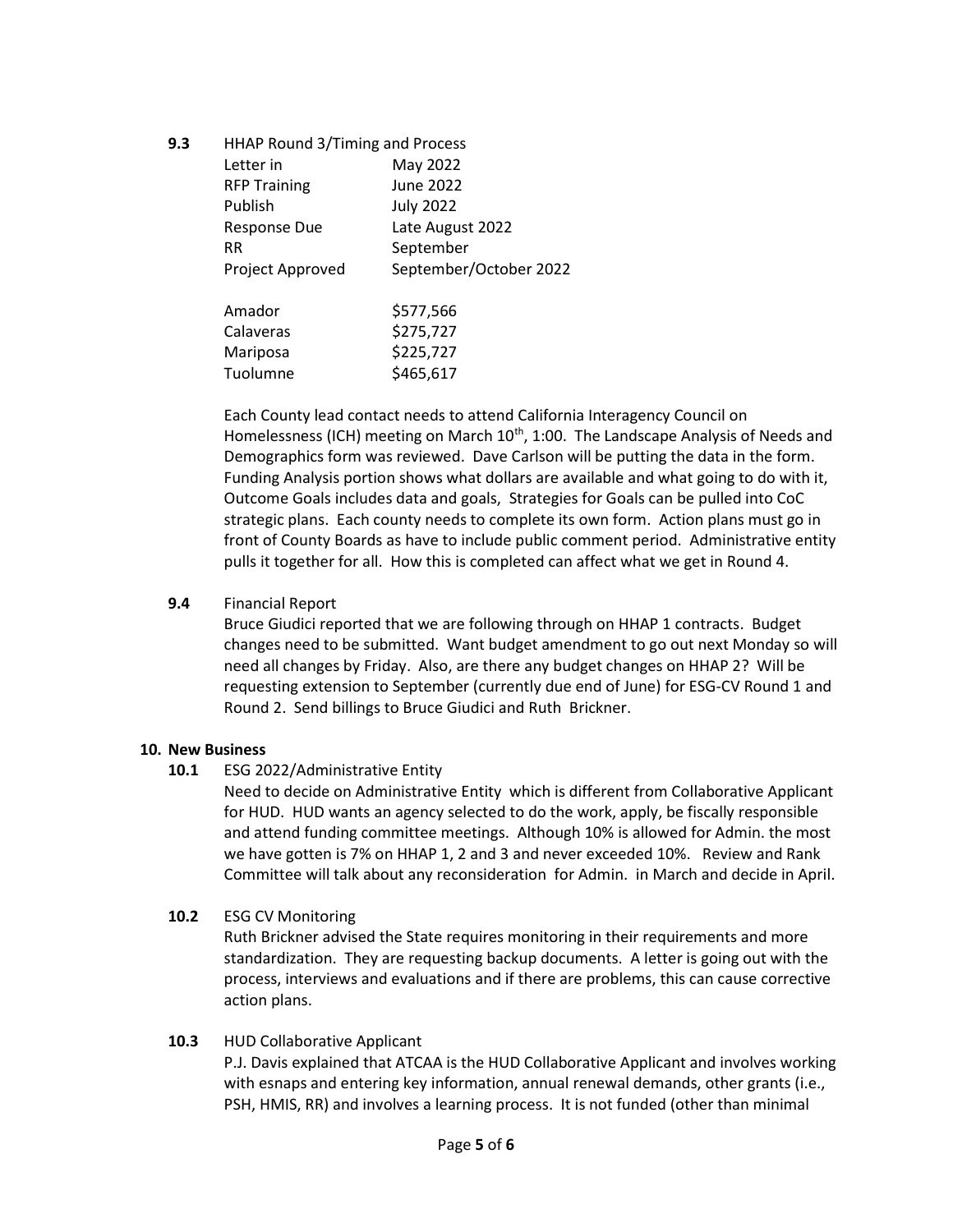9.3 HHAP Round 3/Timing and Process

| -- | <b>THING NOUTED J/THING ONG TTOCCSS</b> |                        |
|----|-----------------------------------------|------------------------|
|    | Letter in                               | May 2022               |
|    | <b>RFP Training</b>                     | <b>June 2022</b>       |
|    | Publish                                 | <b>July 2022</b>       |
|    | <b>Response Due</b>                     | Late August 2022       |
|    | <b>RR</b>                               | September              |
|    | Project Approved                        | September/October 2022 |
|    | Amador                                  | \$577,566              |
|    | Calaveras                               | \$275,727              |
|    | Mariposa                                | \$225,727              |
|    | Tuolumne                                | \$465,617              |
|    |                                         |                        |

Each County lead contact needs to attend California Interagency Council on Homelessness (ICH) meeting on March 10<sup>th</sup>, 1:00. The Landscape Analysis of Needs and Demographics form was reviewed. Dave Carlson will be putting the data in the form. Funding Analysis portion shows what dollars are available and what going to do with it, Outcome Goals includes data and goals, Strategies for Goals can be pulled into CoC strategic plans. Each county needs to complete its own form. Action plans must go in front of County Boards as have to include public comment period. Administrative entity pulls it together for all. How this is completed can affect what we get in Round 4.

## 9.4 Financial Report

Bruce Giudici reported that we are following through on HHAP 1 contracts. Budget changes need to be submitted. Want budget amendment to go out next Monday so will need all changes by Friday. Also, are there any budget changes on HHAP 2? Will be requesting extension to September (currently due end of June) for ESG-CV Round 1 and Round 2. Send billings to Bruce Giudici and Ruth Brickner.

## 10. New Business

10.1 ESG 2022/Administrative Entity

Need to decide on Administrative Entity which is different from Collaborative Applicant for HUD. HUD wants an agency selected to do the work, apply, be fiscally responsible and attend funding committee meetings. Although 10% is allowed for Admin. the most we have gotten is 7% on HHAP 1, 2 and 3 and never exceeded 10%. Review and Rank Committee will talk about any reconsideration for Admin. in March and decide in April.

## 10.2 ESG CV Monitoring

Ruth Brickner advised the State requires monitoring in their requirements and more standardization. They are requesting backup documents. A letter is going out with the process, interviews and evaluations and if there are problems, this can cause corrective action plans.

#### 10.3 HUD Collaborative Applicant

P.J. Davis explained that ATCAA is the HUD Collaborative Applicant and involves working with esnaps and entering key information, annual renewal demands, other grants (i.e., PSH, HMIS, RR) and involves a learning process. It is not funded (other than minimal